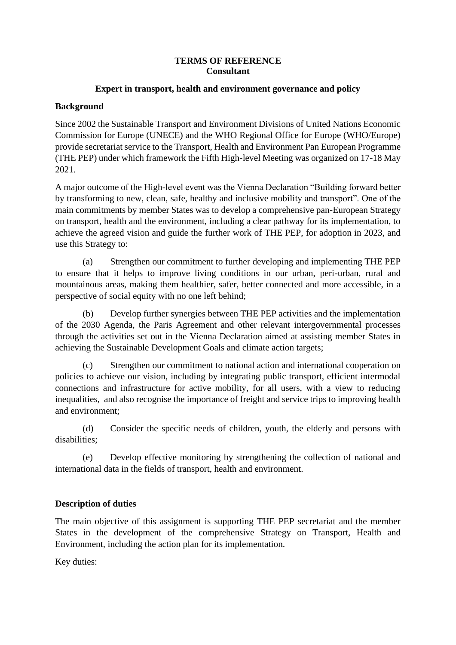#### **TERMS OF REFERENCE Consultant**

### **Expert in transport, health and environment governance and policy**

### **Background**

Since 2002 the Sustainable Transport and Environment Divisions of United Nations Economic Commission for Europe (UNECE) and the WHO Regional Office for Europe (WHO/Europe) provide secretariat service to the Transport, Health and Environment Pan European Programme (THE PEP) under which framework the Fifth High-level Meeting was organized on 17-18 May 2021.

A major outcome of the High-level event was the Vienna Declaration "Building forward better by transforming to new, clean, safe, healthy and inclusive mobility and transport". One of the main commitments by member States was to develop a comprehensive pan-European Strategy on transport, health and the environment, including a clear pathway for its implementation, to achieve the agreed vision and guide the further work of THE PEP, for adoption in 2023, and use this Strategy to:

(a) Strengthen our commitment to further developing and implementing THE PEP to ensure that it helps to improve living conditions in our urban, peri-urban, rural and mountainous areas, making them healthier, safer, better connected and more accessible, in a perspective of social equity with no one left behind;

(b) Develop further synergies between THE PEP activities and the implementation of the 2030 Agenda, the Paris Agreement and other relevant intergovernmental processes through the activities set out in the Vienna Declaration aimed at assisting member States in achieving the Sustainable Development Goals and climate action targets;

(c) Strengthen our commitment to national action and international cooperation on policies to achieve our vision, including by integrating public transport, efficient intermodal connections and infrastructure for active mobility, for all users, with a view to reducing inequalities, and also recognise the importance of freight and service trips to improving health and environment;

(d) Consider the specific needs of children, youth, the elderly and persons with disabilities;

(e) Develop effective monitoring by strengthening the collection of national and international data in the fields of transport, health and environment.

## **Description of duties**

The main objective of this assignment is supporting THE PEP secretariat and the member States in the development of the comprehensive Strategy on Transport, Health and Environment, including the action plan for its implementation.

Key duties: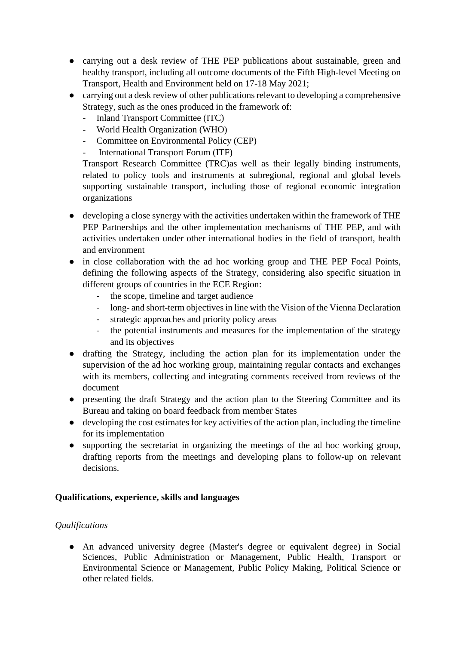- carrying out a desk review of THE PEP publications about sustainable, green and healthy transport, including all outcome documents of the Fifth High-level Meeting on Transport, Health and Environment held on 17-18 May 2021;
- carrying out a desk review of other publications relevant to developing a comprehensive Strategy, such as the ones produced in the framework of:
	- Inland Transport Committee (ITC)
	- World Health Organization (WHO)
	- Committee on Environmental Policy (CEP)
	- International Transport Forum (ITF)

Transport Research Committee (TRC)as well as their legally binding instruments, related to policy tools and instruments at subregional, regional and global levels supporting sustainable transport, including those of regional economic integration organizations

- developing a close synergy with the activities undertaken within the framework of THE PEP Partnerships and the other implementation mechanisms of THE PEP, and with activities undertaken under other international bodies in the field of transport, health and environment
- in close collaboration with the ad hoc working group and THE PEP Focal Points, defining the following aspects of the Strategy, considering also specific situation in different groups of countries in the ECE Region:
	- the scope, timeline and target audience
	- long- and short-term objectives in line with the Vision of the Vienna Declaration
	- strategic approaches and priority policy areas
	- the potential instruments and measures for the implementation of the strategy and its objectives
- drafting the Strategy, including the action plan for its implementation under the supervision of the ad hoc working group, maintaining regular contacts and exchanges with its members, collecting and integrating comments received from reviews of the document
- presenting the draft Strategy and the action plan to the Steering Committee and its Bureau and taking on board feedback from member States
- developing the cost estimates for key activities of the action plan, including the timeline for its implementation
- supporting the secretariat in organizing the meetings of the ad hoc working group, drafting reports from the meetings and developing plans to follow-up on relevant decisions.

# **Qualifications, experience, skills and languages**

# *Qualifications*

● An advanced university degree (Master's degree or equivalent degree) in Social Sciences, Public Administration or Management, Public Health, Transport or Environmental Science or Management, Public Policy Making, Political Science or other related fields.